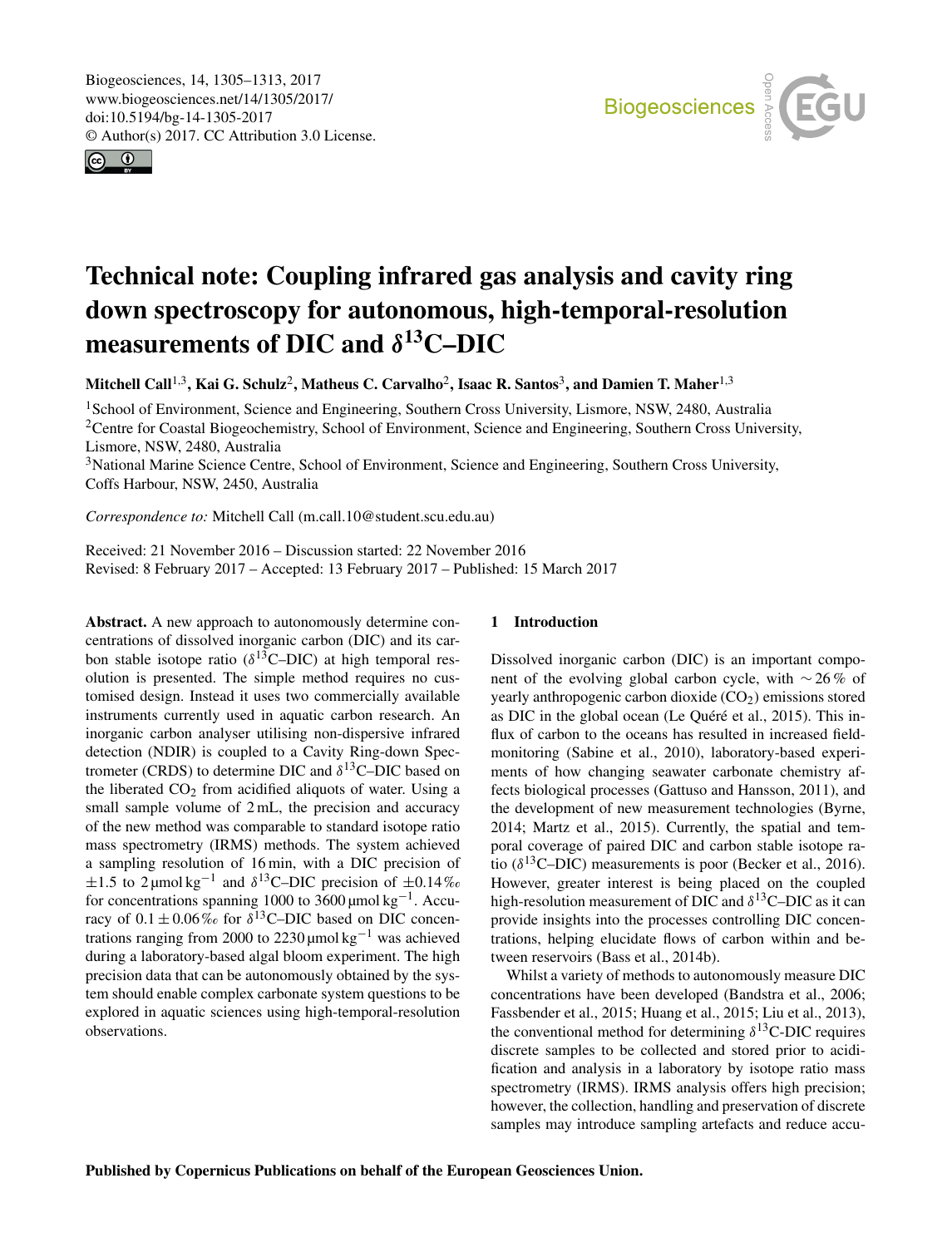<span id="page-0-1"></span>Biogeosciences, 14, 1305–1313, 2017 www.biogeosciences.net/14/1305/2017/ doi:10.5194/bg-14-1305-2017 © Author(s) 2017. CC Attribution 3.0 License.





# Technical note: Coupling infrared gas analysis and cavity ring down spectroscopy for autonomous, high-temporal-resolution measurements of DIC and  $\delta^{13}$ C–DIC

Mitchell Call<sup>[1,3](#page-0-0)</sup>, Kai G. Schulz<sup>[2](#page-0-0)</sup>, Matheus C. Carvalho<sup>2</sup>, Isaac R. Santos<sup>[3](#page-0-0)</sup>, and Damien T. Maher<sup>1,3</sup>

<sup>1</sup>School of Environment, Science and Engineering, Southern Cross University, Lismore, NSW, 2480, Australia <sup>2</sup>Centre for Coastal Biogeochemistry, School of Environment, Science and Engineering, Southern Cross University, Lismore, NSW, 2480, Australia

<sup>3</sup>National Marine Science Centre, School of Environment, Science and Engineering, Southern Cross University, Coffs Harbour, NSW, 2450, Australia

*Correspondence to:* Mitchell Call (m.call.10@student.scu.edu.au)

Received: 21 November 2016 – Discussion started: 22 November 2016 Revised: 8 February 2017 – Accepted: 13 February 2017 – Published: 15 March 2017

<span id="page-0-0"></span>Abstract. A new approach to autonomously determine concentrations of dissolved inorganic carbon (DIC) and its carbon stable isotope ratio ( $\delta^{13}$ C–DIC) at high temporal resolution is presented. The simple method requires no customised design. Instead it uses two commercially available instruments currently used in aquatic carbon research. An inorganic carbon analyser utilising non-dispersive infrared detection (NDIR) is coupled to a Cavity Ring-down Spectrometer (CRDS) to determine DIC and  $\delta^{13}$ C–DIC based on the liberated  $CO<sub>2</sub>$  from acidified aliquots of water. Using a small sample volume of  $2$  mL, the precision and accuracy of the new method was comparable to standard isotope ratio mass spectrometry (IRMS) methods. The system achieved a sampling resolution of 16 min, with a DIC precision of  $\pm 1.5$  to 2 µmol kg<sup>-1</sup> and  $\delta^{13}$ C–DIC precision of  $\pm 0.14\%$ for concentrations spanning 1000 to 3600 μmol kg<sup>-1</sup>. Accuracy of  $0.1 \pm 0.06\%$  for  $\delta^{13}$ C–DIC based on DIC concentrations ranging from 2000 to 2230  $μ$ mol kg<sup>-1</sup> was achieved during a laboratory-based algal bloom experiment. The high precision data that can be autonomously obtained by the system should enable complex carbonate system questions to be explored in aquatic sciences using high-temporal-resolution observations.

## 1 Introduction

Dissolved inorganic carbon (DIC) is an important component of the evolving global carbon cycle, with ∼ 26 % of yearly anthropogenic carbon dioxide  $(CO<sub>2</sub>)$  emissions stored as DIC in the global ocean (Le Quéré et al., 2015). This influx of carbon to the oceans has resulted in increased fieldmonitoring (Sabine et al., 2010), laboratory-based experiments of how changing seawater carbonate chemistry affects biological processes (Gattuso and Hansson, 2011), and the development of new measurement technologies (Byrne, 2014; Martz et al., 2015). Currently, the spatial and temporal coverage of paired DIC and carbon stable isotope ratio ( $\delta^{13}$ C–DIC) measurements is poor (Becker et al., 2016). However, greater interest is being placed on the coupled high-resolution measurement of DIC and  $\delta^{13}$ C–DIC as it can provide insights into the processes controlling DIC concentrations, helping elucidate flows of carbon within and between reservoirs (Bass et al., 2014b).

Whilst a variety of methods to autonomously measure DIC concentrations have been developed (Bandstra et al., 2006; Fassbender et al., 2015; Huang et al., 2015; Liu et al., 2013), the conventional method for determining  $\delta^{13}$ C-DIC requires discrete samples to be collected and stored prior to acidification and analysis in a laboratory by isotope ratio mass spectrometry (IRMS). IRMS analysis offers high precision; however, the collection, handling and preservation of discrete samples may introduce sampling artefacts and reduce accu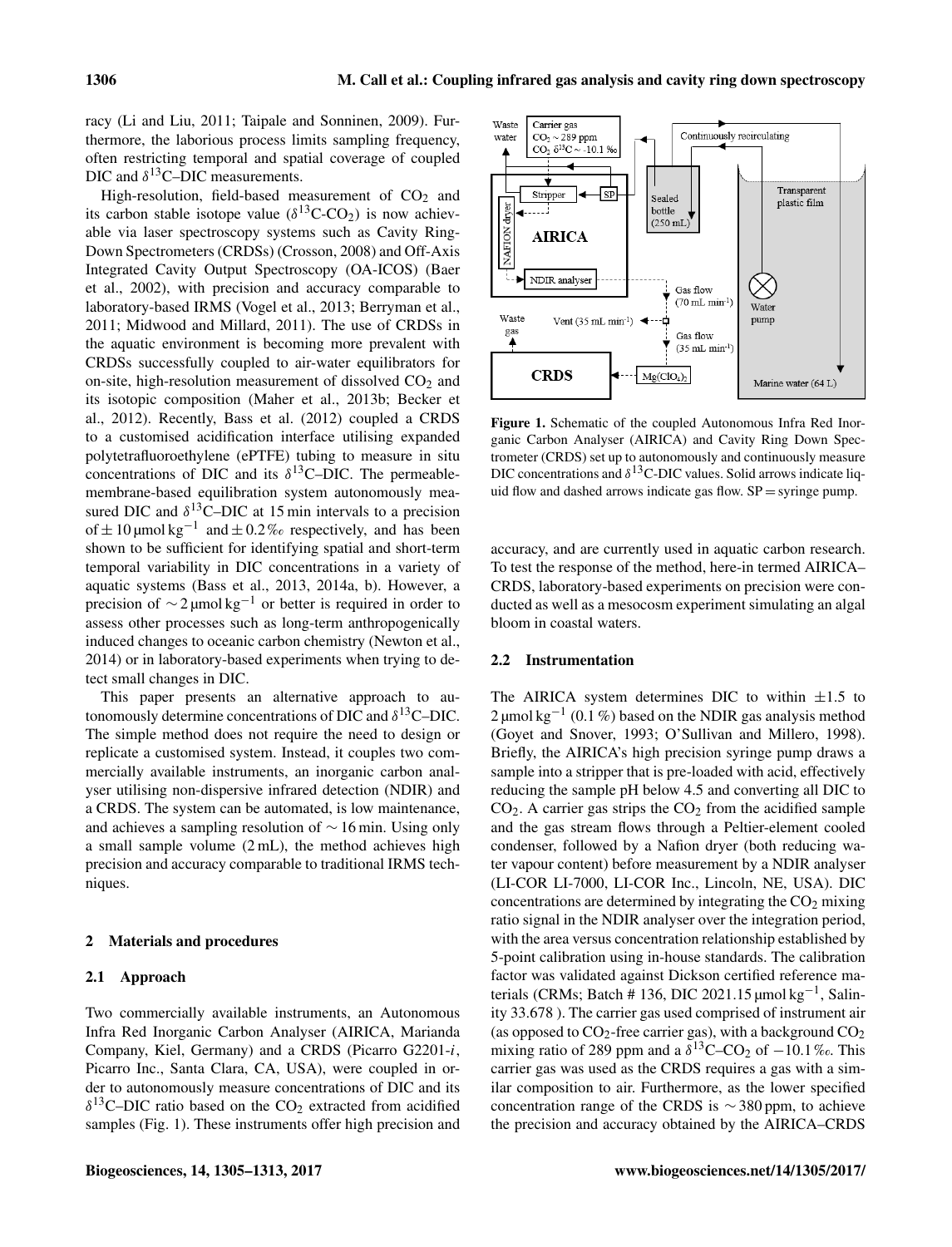racy (Li and Liu, 2011; Taipale and Sonninen, 2009). Furthermore, the laborious process limits sampling frequency, often restricting temporal and spatial coverage of coupled DIC and  $\delta^{13}$ C-DIC measurements.

High-resolution, field-based measurement of  $CO<sub>2</sub>$  and its carbon stable isotope value  $(\delta^{13}C-CO_2)$  is now achievable via laser spectroscopy systems such as Cavity Ring-Down Spectrometers (CRDSs) (Crosson, 2008) and Off-Axis Integrated Cavity Output Spectroscopy (OA-ICOS) (Baer et al., 2002), with precision and accuracy comparable to laboratory-based IRMS (Vogel et al., 2013; Berryman et al., 2011; Midwood and Millard, 2011). The use of CRDSs in the aquatic environment is becoming more prevalent with CRDSs successfully coupled to air-water equilibrators for on-site, high-resolution measurement of dissolved  $CO<sub>2</sub>$  and its isotopic composition (Maher et al., 2013b; Becker et al., 2012). Recently, Bass et al. (2012) coupled a CRDS to a customised acidification interface utilising expanded polytetrafluoroethylene (ePTFE) tubing to measure in situ concentrations of DIC and its  $\delta^{13}$ C–DIC. The permeablemembrane-based equilibration system autonomously measured DIC and  $\delta^{13}$ C–DIC at 15 min intervals to a precision of  $\pm 10$  µmol kg<sup>-1</sup> and  $\pm 0.2$ % respectively, and has been shown to be sufficient for identifying spatial and short-term temporal variability in DIC concentrations in a variety of aquatic systems (Bass et al., 2013, 2014a, b). However, a precision of  $\sim$  2 µmol kg<sup>-1</sup> or better is required in order to assess other processes such as long-term anthropogenically induced changes to oceanic carbon chemistry (Newton et al., 2014) or in laboratory-based experiments when trying to detect small changes in DIC.

This paper presents an alternative approach to autonomously determine concentrations of DIC and  $\delta^{13}$ C–DIC. The simple method does not require the need to design or replicate a customised system. Instead, it couples two commercially available instruments, an inorganic carbon analyser utilising non-dispersive infrared detection (NDIR) and a CRDS. The system can be automated, is low maintenance, and achieves a sampling resolution of ∼ 16 min. Using only a small sample volume (2 mL), the method achieves high precision and accuracy comparable to traditional IRMS techniques.

#### 2 Materials and procedures

## 2.1 Approach

Two commercially available instruments, an Autonomous Infra Red Inorganic Carbon Analyser (AIRICA, Marianda Company, Kiel, Germany) and a CRDS (Picarro G2201-i, Picarro Inc., Santa Clara, CA, USA), were coupled in order to autonomously measure concentrations of DIC and its  $\delta^{13}$ C–DIC ratio based on the CO<sub>2</sub> extracted from acidified samples (Fig. 1). These instruments offer high precision and



Figure 1. Schematic of the coupled Autonomous Infra Red Inorganic Carbon Analyser (AIRICA) and Cavity Ring Down Spectrometer (CRDS) set up to autonomously and continuously measure DIC concentrations and  $\delta^{13}$ C-DIC values. Solid arrows indicate liquid flow and dashed arrows indicate gas flow.  $SP =$  syringe pump.

accuracy, and are currently used in aquatic carbon research. To test the response of the method, here-in termed AIRICA– CRDS, laboratory-based experiments on precision were conducted as well as a mesocosm experiment simulating an algal bloom in coastal waters.

## 2.2 Instrumentation

The AIRICA system determines DIC to within  $\pm 1.5$  to 2 μmol kg<sup>-1</sup> (0.1%) based on the NDIR gas analysis method (Goyet and Snover, 1993; O'Sullivan and Millero, 1998). Briefly, the AIRICA's high precision syringe pump draws a sample into a stripper that is pre-loaded with acid, effectively reducing the sample pH below 4.5 and converting all DIC to  $CO<sub>2</sub>$ . A carrier gas strips the  $CO<sub>2</sub>$  from the acidified sample and the gas stream flows through a Peltier-element cooled condenser, followed by a Nafion dryer (both reducing water vapour content) before measurement by a NDIR analyser (LI-COR LI-7000, LI-COR Inc., Lincoln, NE, USA). DIC concentrations are determined by integrating the  $CO<sub>2</sub>$  mixing ratio signal in the NDIR analyser over the integration period, with the area versus concentration relationship established by 5-point calibration using in-house standards. The calibration factor was validated against Dickson certified reference materials (CRMs; Batch # 136, DIC 2021.15 µmol kg<sup>-1</sup>, Salinity 33.678 ). The carrier gas used comprised of instrument air (as opposed to  $CO_2$ -free carrier gas), with a background  $CO_2$ mixing ratio of 289 ppm and a  $\delta^{13}$ C–CO<sub>2</sub> of -10.1‰. This carrier gas was used as the CRDS requires a gas with a similar composition to air. Furthermore, as the lower specified concentration range of the CRDS is  $\sim$  380 ppm, to achieve the precision and accuracy obtained by the AIRICA–CRDS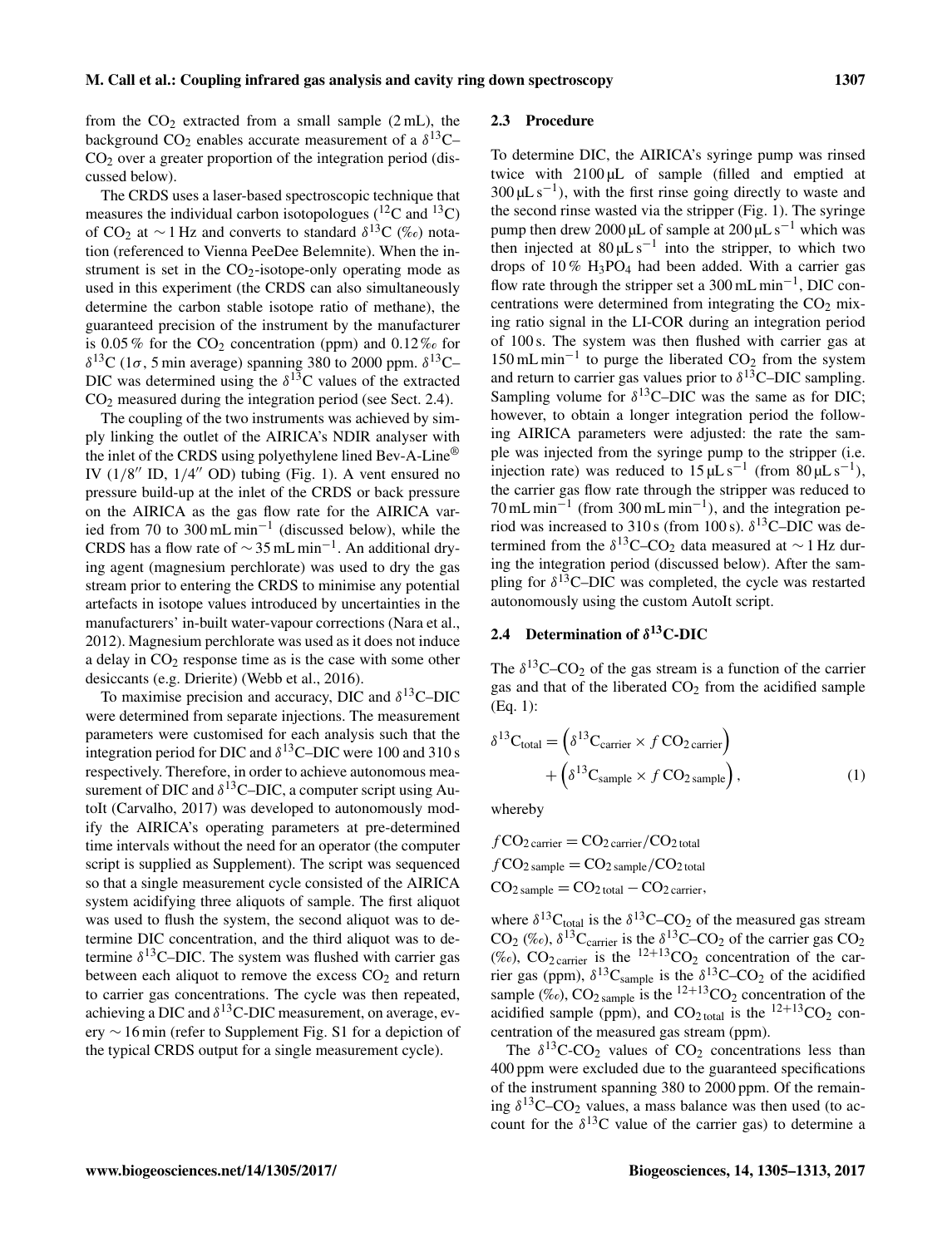from the  $CO<sub>2</sub>$  extracted from a small sample (2 mL), the background  $CO_2$  enables accurate measurement of a  $\delta^{13}$ C- $CO<sub>2</sub>$  over a greater proportion of the integration period (discussed below).

The CRDS uses a laser-based spectroscopic technique that measures the individual carbon isotopologues  $(^{12}C$  and  $^{13}C)$ of CO<sub>2</sub> at  $\sim$  1 Hz and converts to standard  $\delta^{13}C$  (‰) notation (referenced to Vienna PeeDee Belemnite). When the instrument is set in the  $CO<sub>2</sub>$ -isotope-only operating mode as used in this experiment (the CRDS can also simultaneously determine the carbon stable isotope ratio of methane), the guaranteed precision of the instrument by the manufacturer is 0.05 % for the  $CO<sub>2</sub>$  concentration (ppm) and 0.12 % for  $\delta^{13}$ C (1 $\sigma$ , 5 min average) spanning 380 to 2000 ppm.  $\delta^{13}$ C-DIC was determined using the  $\delta^{13}$ C values of the extracted CO<sup>2</sup> measured during the integration period (see Sect. 2.4).

The coupling of the two instruments was achieved by simply linking the outlet of the AIRICA's NDIR analyser with the inlet of the CRDS using polyethylene lined Bev-A-Line® IV  $(1/8''$  ID,  $1/4''$  OD) tubing (Fig. 1). A vent ensured no pressure build-up at the inlet of the CRDS or back pressure on the AIRICA as the gas flow rate for the AIRICA varied from 70 to 300 mL min<sup>-1</sup> (discussed below), while the CRDS has a flow rate of  $\sim$  35 mL min<sup>-1</sup>. An additional drying agent (magnesium perchlorate) was used to dry the gas stream prior to entering the CRDS to minimise any potential artefacts in isotope values introduced by uncertainties in the manufacturers' in-built water-vapour corrections (Nara et al., 2012). Magnesium perchlorate was used as it does not induce a delay in  $CO<sub>2</sub>$  response time as is the case with some other desiccants (e.g. Drierite) (Webb et al., 2016).

To maximise precision and accuracy, DIC and  $\delta^{13}$ C-DIC were determined from separate injections. The measurement parameters were customised for each analysis such that the integration period for DIC and  $\delta^{13}$ C–DIC were 100 and 310 s respectively. Therefore, in order to achieve autonomous measurement of DIC and  $\delta^{13}$ C–DIC, a computer script using AutoIt (Carvalho, 2017) was developed to autonomously modify the AIRICA's operating parameters at pre-determined time intervals without the need for an operator (the computer script is supplied as Supplement). The script was sequenced so that a single measurement cycle consisted of the AIRICA system acidifying three aliquots of sample. The first aliquot was used to flush the system, the second aliquot was to determine DIC concentration, and the third aliquot was to determine  $\delta^{13}$ C-DIC. The system was flushed with carrier gas between each aliquot to remove the excess  $CO<sub>2</sub>$  and return to carrier gas concentrations. The cycle was then repeated, achieving a DIC and  $\delta^{13}$ C-DIC measurement, on average, every ∼ 16 min (refer to Supplement Fig. S1 for a depiction of the typical CRDS output for a single measurement cycle).

#### 2.3 Procedure

To determine DIC, the AIRICA's syringe pump was rinsed twice with 2100 µL of sample (filled and emptied at  $300 \mu L s^{-1}$ ), with the first rinse going directly to waste and the second rinse wasted via the stripper (Fig. 1). The syringe pump then drew 2000 µL of sample at  $200 \mu L s^{-1}$  which was then injected at  $80 \mu L s^{-1}$  into the stripper, to which two drops of  $10\%$  H<sub>3</sub>PO<sub>4</sub> had been added. With a carrier gas flow rate through the stripper set a 300 mL min−<sup>1</sup> , DIC concentrations were determined from integrating the  $CO<sub>2</sub>$  mixing ratio signal in the LI-COR during an integration period of 100 s. The system was then flushed with carrier gas at 150 mL min<sup>-1</sup> to purge the liberated  $CO_2$  from the system and return to carrier gas values prior to  $\delta^{13}$ C–DIC sampling. Sampling volume for  $\delta^{13}$ C–DIC was the same as for DIC; however, to obtain a longer integration period the following AIRICA parameters were adjusted: the rate the sample was injected from the syringe pump to the stripper (i.e. injection rate) was reduced to  $15 \mu L s^{-1}$  (from  $80 \mu L s^{-1}$ ), the carrier gas flow rate through the stripper was reduced to 70 mL min<sup>-1</sup> (from 300 mL min<sup>-1</sup>), and the integration period was increased to  $310 s$  (from 100 s).  $\delta^{13}$ C–DIC was determined from the  $\delta^{13}$ C–CO<sub>2</sub> data measured at ~1 Hz during the integration period (discussed below). After the sampling for  $\delta^{13}$ C–DIC was completed, the cycle was restarted autonomously using the custom AutoIt script.

# 2.4 Determination of  $\delta^{13}$ C-DIC

The  $\delta^{13}$ C–CO<sub>2</sub> of the gas stream is a function of the carrier gas and that of the liberated  $CO<sub>2</sub>$  from the acidified sample (Eq. 1):

$$
\delta^{13}C_{\text{total}} = \left(\delta^{13}C_{\text{carrier}} \times f\,CO_{2\,\text{carrier}}\right) + \left(\delta^{13}C_{\text{sample}} \times f\,CO_{2\,\text{sample}}\right),\tag{1}
$$

whereby

$$
fCO2 carrier = CO2 carrier / CO2 total\n
$$
fCO2 sample = CO2 sample / CO2 total
$$
\n
$$
CO2 sample = CO2 total - CO2 carrier,
$$
$$

where  $\delta^{13}C_{\text{total}}$  is the  $\delta^{13}C$ –CO<sub>2</sub> of the measured gas stream CO<sub>2</sub> (‰),  $\delta^{13}$ C<sub>carrier</sub> is the  $\delta^{13}$ C–CO<sub>2</sub> of the carrier gas CO<sub>2</sub> (‰),  $CO<sub>2</sub>$  carrier is the <sup>12+13</sup>CO<sub>2</sub> concentration of the carrier gas (ppm),  $\delta^{13}C_{\text{sample}}$  is the  $\delta^{13}C$ –CO<sub>2</sub> of the acidified sample (‰),  $CO<sub>2 sample</sub>$  is the <sup>12+13</sup>CO<sub>2</sub> concentration of the acidified sample (ppm), and  $CO<sub>2 total</sub>$  is the  $^{12+13}CO<sub>2</sub>$  concentration of the measured gas stream (ppm).

The  $\delta^{13}$ C-CO<sub>2</sub> values of CO<sub>2</sub> concentrations less than 400 ppm were excluded due to the guaranteed specifications of the instrument spanning 380 to 2000 ppm. Of the remaining  $\delta^{13}$ C–CO<sub>2</sub> values, a mass balance was then used (to account for the  $\delta^{13}$ C value of the carrier gas) to determine a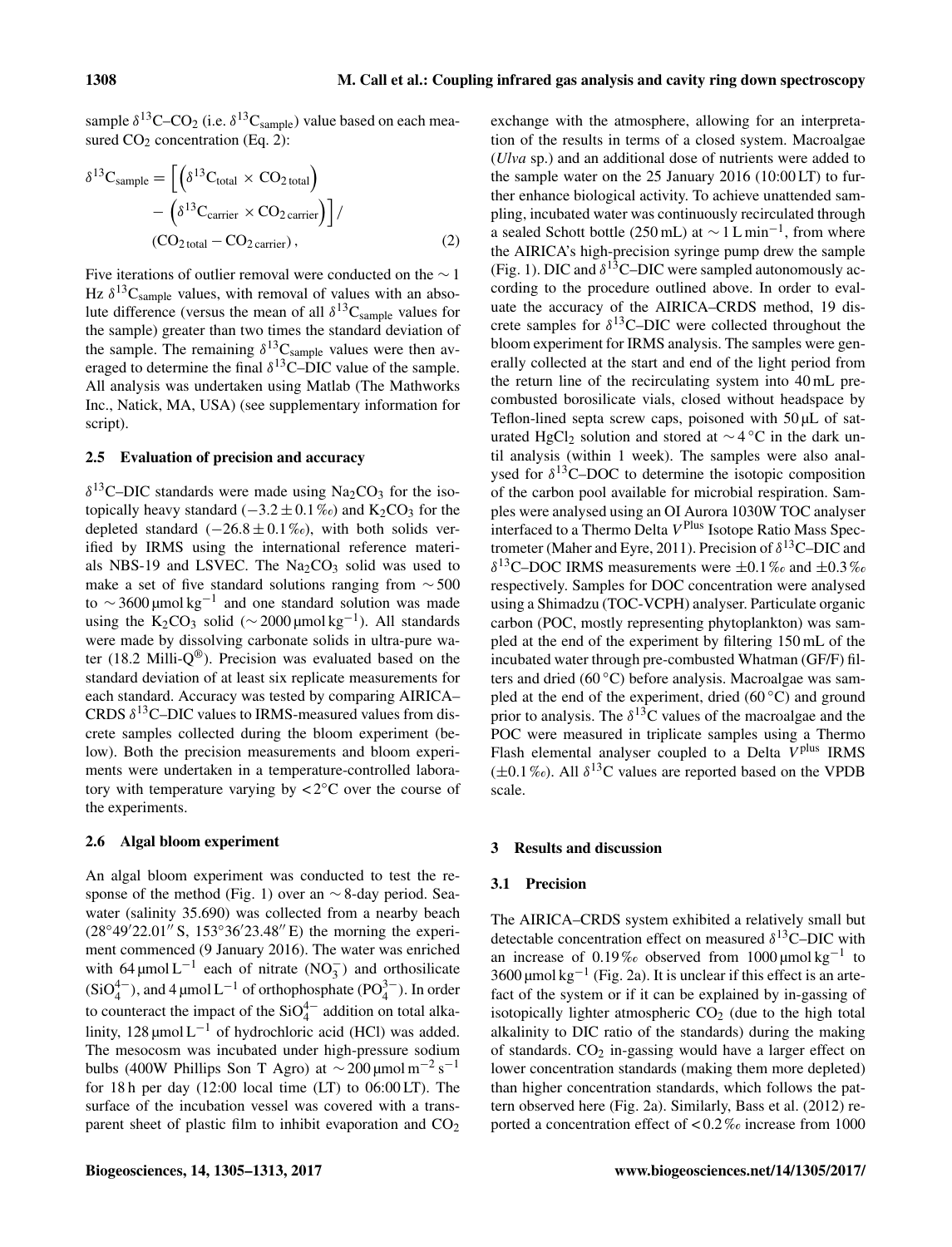sample  $\delta^{13}$ C–CO<sub>2</sub> (i.e.  $\delta^{13}$ C<sub>sample</sub>) value based on each measured  $CO<sub>2</sub>$  concentration (Eq. 2):

$$
\delta^{13}C_{\text{sample}} = \left[ \left( \delta^{13}C_{\text{total}} \times CO_{2 \text{ total}} \right) - \left( \delta^{13}C_{\text{carrier}} \times CO_{2 \text{ carrier}} \right) \right] /
$$
  
\n(CO<sub>2 total</sub> - CO<sub>2 carrier</sub>), (2)

Five iterations of outlier removal were conducted on the ∼ 1 Hz  $\delta^{13}$ C<sub>sample</sub> values, with removal of values with an absolute difference (versus the mean of all  $\delta^{13}C_{\text{sample}}$  values for the sample) greater than two times the standard deviation of the sample. The remaining  $\delta^{13}C_{\text{sample}}$  values were then averaged to determine the final  $\delta^{13}$ C–DIC value of the sample. All analysis was undertaken using Matlab (The Mathworks Inc., Natick, MA, USA) (see supplementary information for script).

#### 2.5 Evaluation of precision and accuracy

 $\delta^{13}$ C–DIC standards were made using Na<sub>2</sub>CO<sub>3</sub> for the isotopically heavy standard ( $-3.2 \pm 0.1\%$ ) and K<sub>2</sub>CO<sub>3</sub> for the depleted standard  $(-26.8 \pm 0.1\%)$ , with both solids verified by IRMS using the international reference materials NBS-19 and LSVEC. The  $Na<sub>2</sub>CO<sub>3</sub>$  solid was used to make a set of five standard solutions ranging from ∼ 500 to  $\sim$  3600 µmol kg<sup>-1</sup> and one standard solution was made using the  $K_2CO_3$  solid (~2000 µmol kg<sup>-1</sup>). All standards were made by dissolving carbonate solids in ultra-pure water (18.2 Milli- $Q^{\circledR}$ ). Precision was evaluated based on the standard deviation of at least six replicate measurements for each standard. Accuracy was tested by comparing AIRICA– CRDS  $\delta^{13}$ C–DIC values to IRMS-measured values from discrete samples collected during the bloom experiment (below). Both the precision measurements and bloom experiments were undertaken in a temperature-controlled laboratory with temperature varying by  $\langle 2^{\circ}$ C over the course of the experiments.

### 2.6 Algal bloom experiment

An algal bloom experiment was conducted to test the response of the method (Fig. 1) over an ∼ 8-day period. Seawater (salinity 35.690) was collected from a nearby beach  $(28°49'22.01'' S, 153°36'23.48'' E)$  the morning the experiment commenced (9 January 2016). The water was enriched with 64 µmol L<sup>-1</sup> each of nitrate  $(NO<sub>3</sub><sup>-</sup>)$  and orthosilicate  $(SiO_4^{4-})$ , and 4 µmol L<sup>-1</sup> of orthophosphate (PO<sub>4</sub><sup>3-</sup>). In order to counteract the impact of the  $SiO_4^{4-}$  addition on total alkalinity,  $128 \mu$ mol L<sup>-1</sup> of hydrochloric acid (HCl) was added. The mesocosm was incubated under high-pressure sodium bulbs (400W Phillips Son T Agro) at  $\sim$  200 μmol m<sup>-2</sup> s<sup>-1</sup> for  $18 h$  per day  $(12:00 \text{ local time } (LT)$  to  $06:00 LT)$ . The surface of the incubation vessel was covered with a transparent sheet of plastic film to inhibit evaporation and  $CO<sub>2</sub>$  exchange with the atmosphere, allowing for an interpretation of the results in terms of a closed system. Macroalgae (*Ulva* sp.) and an additional dose of nutrients were added to the sample water on the 25 January 2016 (10:00 LT) to further enhance biological activity. To achieve unattended sampling, incubated water was continuously recirculated through a sealed Schott bottle (250 mL) at  $\sim$  1 L min<sup>-1</sup>, from where the AIRICA's high-precision syringe pump drew the sample (Fig. 1). DIC and  $\delta^{13}$ C–DIC were sampled autonomously according to the procedure outlined above. In order to evaluate the accuracy of the AIRICA–CRDS method, 19 discrete samples for  $\delta^{13}$ C–DIC were collected throughout the bloom experiment for IRMS analysis. The samples were generally collected at the start and end of the light period from the return line of the recirculating system into 40 mL precombusted borosilicate vials, closed without headspace by Teflon-lined septa screw caps, poisoned with  $50 \mu L$  of saturated HgCl<sub>2</sub> solution and stored at  $\sim$  4 °C in the dark until analysis (within 1 week). The samples were also analysed for  $\delta^{13}$ C–DOC to determine the isotopic composition of the carbon pool available for microbial respiration. Samples were analysed using an OI Aurora 1030W TOC analyser interfaced to a Thermo Delta V<sup>Plus</sup> Isotope Ratio Mass Spectrometer (Maher and Eyre, 2011). Precision of  $\delta^{13}$ C–DIC and  $\delta^{13}$ C–DOC IRMS measurements were  $\pm 0.1\%$  and  $\pm 0.3\%$ respectively. Samples for DOC concentration were analysed using a Shimadzu (TOC-VCPH) analyser. Particulate organic carbon (POC, mostly representing phytoplankton) was sampled at the end of the experiment by filtering 150 mL of the incubated water through pre-combusted Whatman (GF/F) filters and dried (60 ◦C) before analysis. Macroalgae was sampled at the end of the experiment, dried (60 $\degree$ C) and ground prior to analysis. The  $\delta^{13}$ C values of the macroalgae and the POC were measured in triplicate samples using a Thermo Flash elemental analyser coupled to a Delta  $V<sup>plus</sup>$  IRMS  $(\pm 0.1\%)$ . All  $\delta^{13}$ C values are reported based on the VPDB scale.

## 3 Results and discussion

#### 3.1 Precision

The AIRICA–CRDS system exhibited a relatively small but detectable concentration effect on measured  $\delta^{13}$ C–DIC with an increase of 0.19‰ observed from  $1000 \mu$ mol kg<sup>-1</sup> to 3600  $\mu$ mol kg<sup>-1</sup> (Fig. 2a). It is unclear if this effect is an artefact of the system or if it can be explained by in-gassing of isotopically lighter atmospheric  $CO<sub>2</sub>$  (due to the high total alkalinity to DIC ratio of the standards) during the making of standards.  $CO<sub>2</sub>$  in-gassing would have a larger effect on lower concentration standards (making them more depleted) than higher concentration standards, which follows the pattern observed here (Fig. 2a). Similarly, Bass et al. (2012) reported a concentration effect of < 0.2 ‰ increase from 1000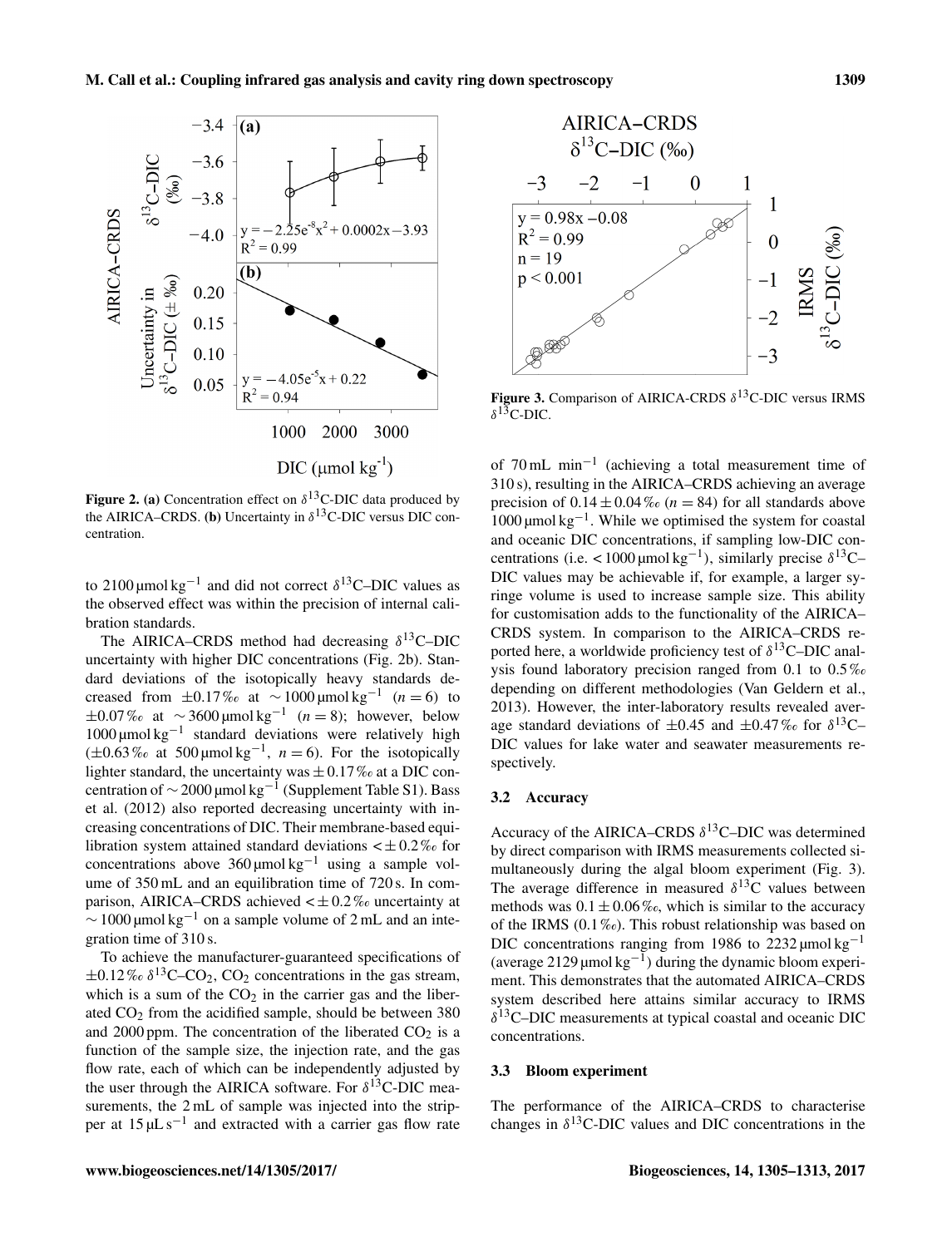

Figure 2. (a) Concentration effect on  $\delta^{13}$ C-DIC data produced by the AIRICA–CRDS. (b) Uncertainty in  $\delta^{13}$ C-DIC versus DIC concentration.

to 2100 μmol kg<sup>-1</sup> and did not correct  $\delta$ <sup>13</sup>C–DIC values as the observed effect was within the precision of internal calibration standards.

The AIRICA–CRDS method had decreasing  $\delta^{13}$ C–DIC uncertainty with higher DIC concentrations (Fig. 2b). Standard deviations of the isotopically heavy standards decreased from  $\pm 0.17\%$  at  $\sim 1000 \,\text{\mu m}$  kg<sup>-1</sup> (n = 6) to  $\pm 0.07\%$  at  $\sim 3600 \,\text{\mu}$ mol kg<sup>-1</sup> (*n* = 8); however, below 1000 µmol kg−<sup>1</sup> standard deviations were relatively high  $(\pm 0.63\% \text{ at } 500 \,\text{\mu} \text{mol kg}^{-1}, n = 6)$ . For the isotopically lighter standard, the uncertainty was  $\pm$  0.17% at a DIC concentration of  $\sim$  2000 µmol kg<sup>-1</sup> (Supplement Table S1). Bass et al. (2012) also reported decreasing uncertainty with increasing concentrations of DIC. Their membrane-based equilibration system attained standard deviations  $\lt \pm 0.2\%$  for concentrations above  $360 \mu$ mol kg<sup>-1</sup> using a sample volume of 350 mL and an equilibration time of 720 s. In comparison, AIRICA–CRDS achieved  $\lt \pm 0.2\%$  uncertainty at  $\sim$  1000 µmol kg<sup>-1</sup> on a sample volume of 2 mL and an integration time of 310 s.

To achieve the manufacturer-guaranteed specifications of  $\pm 0.12\%$   $\delta^{13}$ C–CO<sub>2</sub>, CO<sub>2</sub> concentrations in the gas stream, which is a sum of the  $CO<sub>2</sub>$  in the carrier gas and the liberated  $CO<sub>2</sub>$  from the acidified sample, should be between 380 and 2000 ppm. The concentration of the liberated  $CO<sub>2</sub>$  is a function of the sample size, the injection rate, and the gas flow rate, each of which can be independently adjusted by the user through the AIRICA software. For  $\delta^{13}$ C-DIC measurements, the 2 mL of sample was injected into the stripper at  $15 \mu L s^{-1}$  and extracted with a carrier gas flow rate



Figure 3. Comparison of AIRICA-CRDS  $\delta^{13}$ C-DIC versus IRMS  $δ$ <sup>13</sup>C-DIC.

of 70 mL min−<sup>1</sup> (achieving a total measurement time of 310 s), resulting in the AIRICA–CRDS achieving an average precision of  $0.14 \pm 0.04\%$  ( $n = 84$ ) for all standards above 1000 µmol kg−<sup>1</sup> . While we optimised the system for coastal and oceanic DIC concentrations, if sampling low-DIC concentrations (i.e. <1000 μmol kg<sup>-1</sup>), similarly precise  $\delta^{13}$ C-DIC values may be achievable if, for example, a larger syringe volume is used to increase sample size. This ability for customisation adds to the functionality of the AIRICA– CRDS system. In comparison to the AIRICA–CRDS reported here, a worldwide proficiency test of  $\delta^{13}$ C–DIC analysis found laboratory precision ranged from 0.1 to 0.5 ‰ depending on different methodologies (Van Geldern et al., 2013). However, the inter-laboratory results revealed average standard deviations of  $\pm 0.45$  and  $\pm 0.47\%$  for  $\delta^{13}$ C-DIC values for lake water and seawater measurements respectively.

## 3.2 Accuracy

Accuracy of the AIRICA–CRDS  $\delta^{13}$ C–DIC was determined by direct comparison with IRMS measurements collected simultaneously during the algal bloom experiment (Fig. 3). The average difference in measured  $\delta^{13}$ C values between methods was  $0.1 \pm 0.06\%$ , which is similar to the accuracy of the IRMS  $(0.1\%_0)$ . This robust relationship was based on DIC concentrations ranging from 1986 to 2232  $\mu$ mol kg<sup>-1</sup> (average 2129 µmol  $kg^{-1}$ ) during the dynamic bloom experiment. This demonstrates that the automated AIRICA–CRDS system described here attains similar accuracy to IRMS δ <sup>13</sup>C–DIC measurements at typical coastal and oceanic DIC concentrations.

#### 3.3 Bloom experiment

The performance of the AIRICA–CRDS to characterise changes in  $\delta^{13}$ C-DIC values and DIC concentrations in the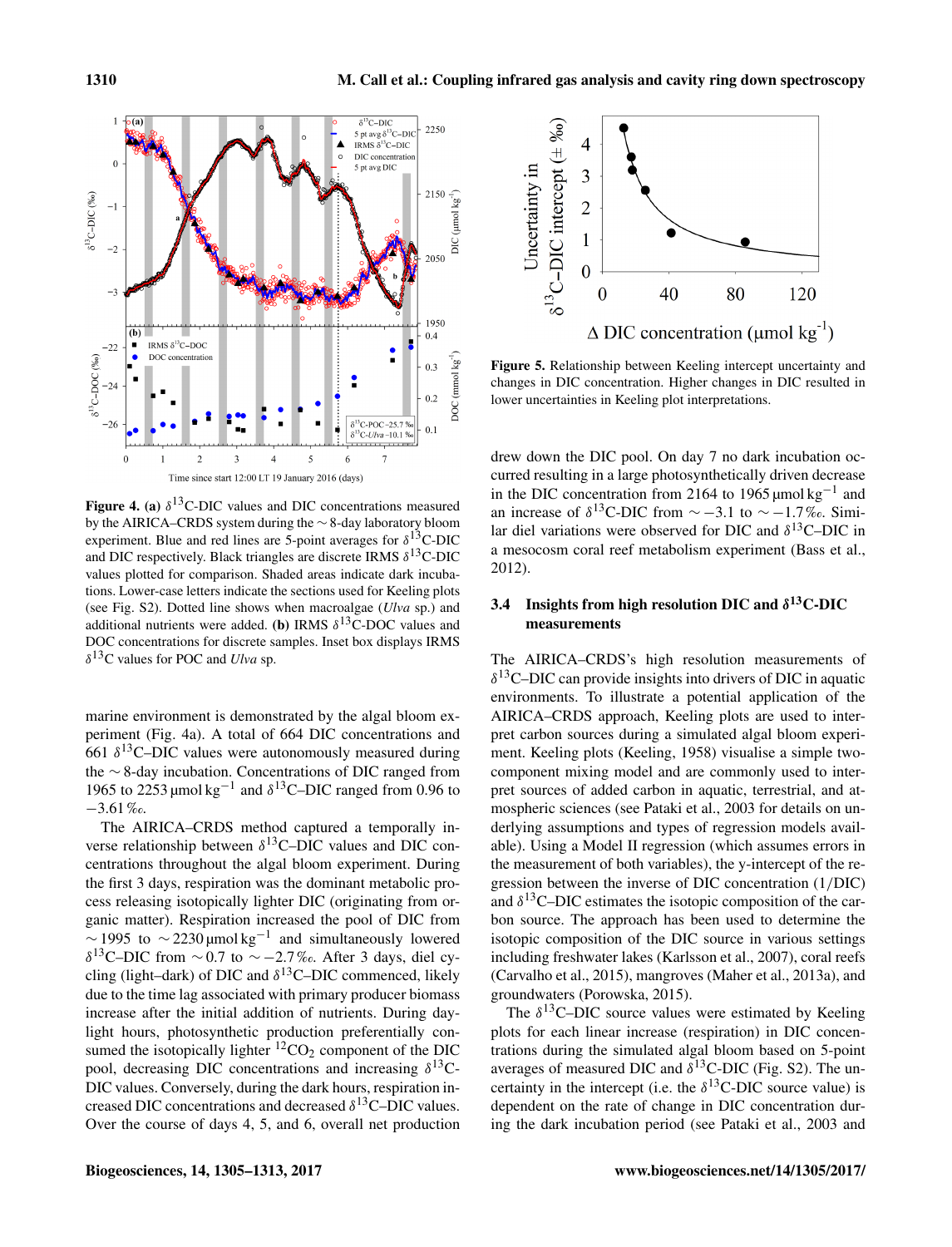

Figure 4. (a)  $\delta^{13}$ C-DIC values and DIC concentrations measured by the AIRICA–CRDS system during the ∼ 8-day laboratory bloom experiment. Blue and red lines are 5-point averages for  $\delta^{13}$ C-DIC and DIC respectively. Black triangles are discrete IRMS  $\delta^{13}$ C-DIC values plotted for comparison. Shaded areas indicate dark incubations. Lower-case letters indicate the sections used for Keeling plots (see Fig. S2). Dotted line shows when macroalgae (*Ulva* sp.) and additional nutrients were added. (b) IRMS  $\delta^{13}$ C-DOC values and DOC concentrations for discrete samples. Inset box displays IRMS  $\delta^{13}$ C values for POC and *Ulva* sp.

marine environment is demonstrated by the algal bloom experiment (Fig. 4a). A total of 664 DIC concentrations and 661  $\delta$ <sup>13</sup>C–DIC values were autonomously measured during the ∼ 8-day incubation. Concentrations of DIC ranged from 1965 to 2253 µmol kg<sup>-1</sup> and  $\delta$ <sup>13</sup>C–DIC ranged from 0.96 to −3.61 ‰.

The AIRICA–CRDS method captured a temporally inverse relationship between  $\delta^{13}$ C–DIC values and DIC concentrations throughout the algal bloom experiment. During the first 3 days, respiration was the dominant metabolic process releasing isotopically lighter DIC (originating from organic matter). Respiration increased the pool of DIC from  $\sim$  1995 to  $\sim$  2230 µmol kg<sup>-1</sup> and simultaneously lowered δ<sup>13</sup>C–DIC from ~0.7 to ~ –2.7‰. After 3 days, diel cycling (light–dark) of DIC and  $\delta^{13}$ C–DIC commenced, likely due to the time lag associated with primary producer biomass increase after the initial addition of nutrients. During daylight hours, photosynthetic production preferentially consumed the isotopically lighter  ${}^{12}CO_2$  component of the DIC pool, decreasing DIC concentrations and increasing  $\delta^{13}$ C-DIC values. Conversely, during the dark hours, respiration increased DIC concentrations and decreased  $\delta^{13}$ C–DIC values. Over the course of days 4, 5, and 6, overall net production



Figure 5. Relationship between Keeling intercept uncertainty and changes in DIC concentration. Higher changes in DIC resulted in lower uncertainties in Keeling plot interpretations.

drew down the DIC pool. On day 7 no dark incubation occurred resulting in a large photosynthetically driven decrease in the DIC concentration from 2164 to 1965 µmol kg−<sup>1</sup> and an increase of  $\delta^{13}$ C-DIC from  $\sim -3.1$  to  $\sim -1.7\%$ . Similar diel variations were observed for DIC and  $\delta^{13}$ C–DIC in a mesocosm coral reef metabolism experiment (Bass et al., 2012).

# 3.4 Insights from high resolution DIC and  $\delta^{13}$ C-DIC measurements

The AIRICA–CRDS's high resolution measurements of  $\delta^{13}$ C–DIC can provide insights into drivers of DIC in aquatic environments. To illustrate a potential application of the AIRICA–CRDS approach, Keeling plots are used to interpret carbon sources during a simulated algal bloom experiment. Keeling plots (Keeling, 1958) visualise a simple twocomponent mixing model and are commonly used to interpret sources of added carbon in aquatic, terrestrial, and atmospheric sciences (see Pataki et al., 2003 for details on underlying assumptions and types of regression models available). Using a Model II regression (which assumes errors in the measurement of both variables), the y-intercept of the regression between the inverse of DIC concentration (1/DIC) and  $\delta^{13}$ C–DIC estimates the isotopic composition of the carbon source. The approach has been used to determine the isotopic composition of the DIC source in various settings including freshwater lakes (Karlsson et al., 2007), coral reefs (Carvalho et al., 2015), mangroves (Maher et al., 2013a), and groundwaters (Porowska, 2015).

The  $\delta^{13}$ C–DIC source values were estimated by Keeling plots for each linear increase (respiration) in DIC concentrations during the simulated algal bloom based on 5-point averages of measured DIC and  $\delta^{13}$ C-DIC (Fig. S2). The uncertainty in the intercept (i.e. the  $\delta^{13}$ C-DIC source value) is dependent on the rate of change in DIC concentration during the dark incubation period (see Pataki et al., 2003 and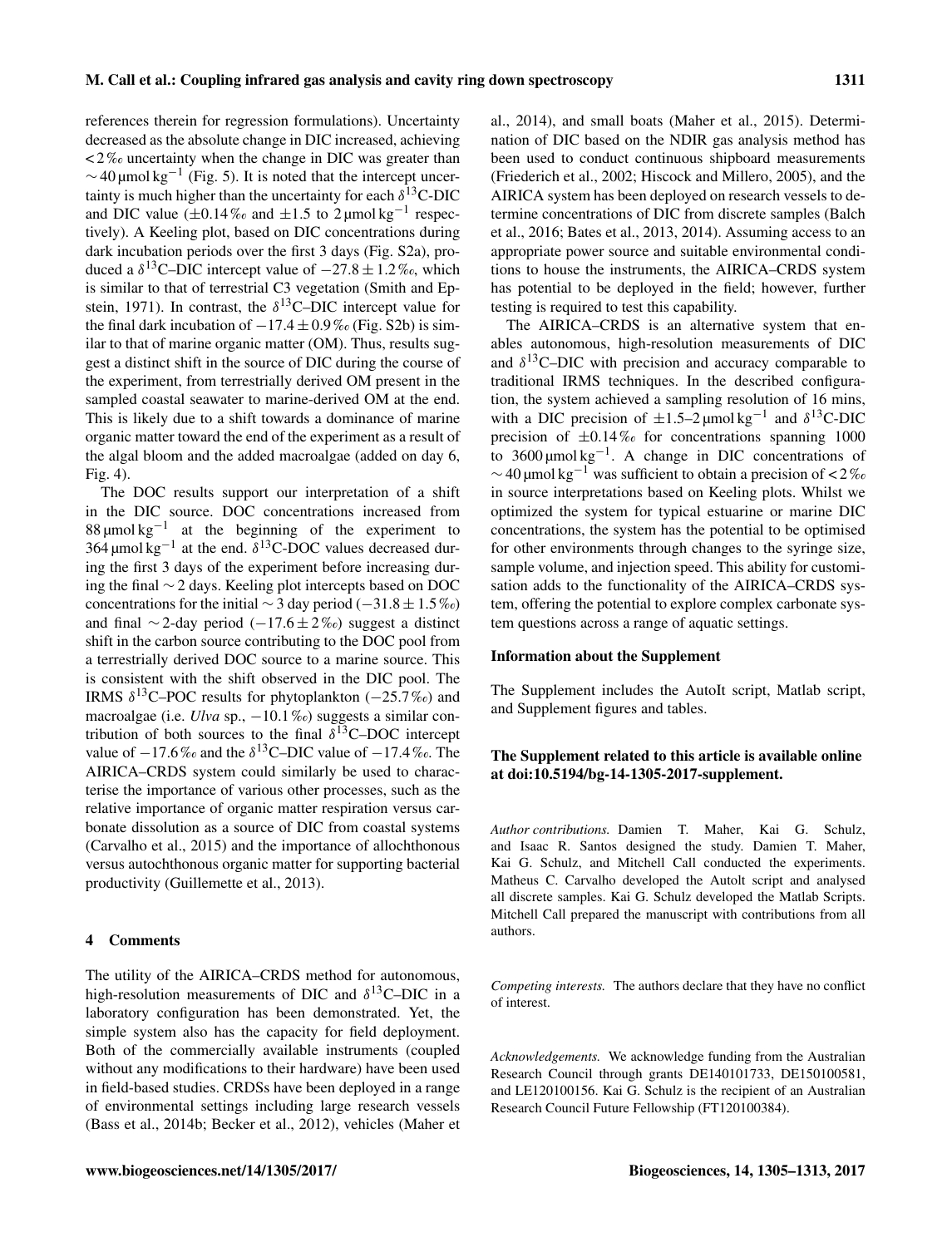references therein for regression formulations). Uncertainty decreased as the absolute change in DIC increased, achieving  $\langle 2\% \rangle$  uncertainty when the change in DIC was greater than  $\sim$  40 µmol kg<sup>-1</sup> (Fig. 5). It is noted that the intercept uncertainty is much higher than the uncertainty for each  $\delta^{13}$ C-DIC and DIC value  $(\pm 0.14\% \text{ and } \pm 1.5 \text{ to } 2 \text{ }\mu\text{mol kg}^{-1} \text{ respectively})$ tively). A Keeling plot, based on DIC concentrations during dark incubation periods over the first 3 days (Fig. S2a), produced a  $\delta^{13}$ C–DIC intercept value of  $-27.8 \pm 1.2\%$ , which is similar to that of terrestrial C3 vegetation (Smith and Epstein, 1971). In contrast, the  $\delta^{13}$ C-DIC intercept value for the final dark incubation of  $-17.4 \pm 0.9\%$  (Fig. S2b) is similar to that of marine organic matter (OM). Thus, results suggest a distinct shift in the source of DIC during the course of the experiment, from terrestrially derived OM present in the sampled coastal seawater to marine-derived OM at the end. This is likely due to a shift towards a dominance of marine organic matter toward the end of the experiment as a result of the algal bloom and the added macroalgae (added on day 6, Fig. 4).

The DOC results support our interpretation of a shift in the DIC source. DOC concentrations increased from 88 µmol  $kg^{-1}$  at the beginning of the experiment to 364 µmol kg<sup>-1</sup> at the end.  $\delta$ <sup>13</sup>C-DOC values decreased during the first 3 days of the experiment before increasing during the final ∼ 2 days. Keeling plot intercepts based on DOC concentrations for the initial  $\sim$  3 day period (−31.8 ± 1.5 ‰) and final ∼2-day period  $(-17.6 \pm 2\%)$  suggest a distinct shift in the carbon source contributing to the DOC pool from a terrestrially derived DOC source to a marine source. This is consistent with the shift observed in the DIC pool. The IRMS  $\delta^{13}$ C–POC results for phytoplankton (-25.7‰) and macroalgae (i.e. *Ulva* sp., −10.1‰) suggests a similar contribution of both sources to the final  $\delta^{13}$ C–DOC intercept value of  $-17.6\%$  and the  $\delta^{13}$ C–DIC value of  $-17.4\%$ . The AIRICA–CRDS system could similarly be used to characterise the importance of various other processes, such as the relative importance of organic matter respiration versus carbonate dissolution as a source of DIC from coastal systems (Carvalho et al., 2015) and the importance of allochthonous versus autochthonous organic matter for supporting bacterial productivity (Guillemette et al., 2013).

## 4 Comments

The utility of the AIRICA–CRDS method for autonomous, high-resolution measurements of DIC and  $\delta^{13}$ C–DIC in a laboratory configuration has been demonstrated. Yet, the simple system also has the capacity for field deployment. Both of the commercially available instruments (coupled without any modifications to their hardware) have been used in field-based studies. CRDSs have been deployed in a range of environmental settings including large research vessels (Bass et al., 2014b; Becker et al., 2012), vehicles (Maher et al., 2014), and small boats (Maher et al., 2015). Determination of DIC based on the NDIR gas analysis method has been used to conduct continuous shipboard measurements (Friederich et al., 2002; Hiscock and Millero, 2005), and the AIRICA system has been deployed on research vessels to determine concentrations of DIC from discrete samples (Balch et al., 2016; Bates et al., 2013, 2014). Assuming access to an appropriate power source and suitable environmental conditions to house the instruments, the AIRICA–CRDS system has potential to be deployed in the field; however, further testing is required to test this capability.

The AIRICA–CRDS is an alternative system that enables autonomous, high-resolution measurements of DIC and  $\delta^{13}$ C–DIC with precision and accuracy comparable to traditional IRMS techniques. In the described configuration, the system achieved a sampling resolution of 16 mins, with a DIC precision of  $\pm 1.5-2$  µmol kg<sup>-1</sup> and  $\delta^{13}$ C-DIC precision of  $\pm 0.14\%$  for concentrations spanning 1000 to  $3600 \mu$ mol kg<sup>-1</sup>. A change in DIC concentrations of  $\sim$  40 µmol kg<sup>-1</sup> was sufficient to obtain a precision of < 2‰ in source interpretations based on Keeling plots. Whilst we optimized the system for typical estuarine or marine DIC concentrations, the system has the potential to be optimised for other environments through changes to the syringe size, sample volume, and injection speed. This ability for customisation adds to the functionality of the AIRICA–CRDS system, offering the potential to explore complex carbonate system questions across a range of aquatic settings.

#### Information about the Supplement

The Supplement includes the AutoIt script, Matlab script, and Supplement figures and tables.

# The Supplement related to this article is available online at [doi:10.5194/bg-14-1305-2017-supplement.](http://dx.doi.org/10.5194/bg-14-1305-2017-supplement)

*Author contributions.* Damien T. Maher, Kai G. Schulz, and Isaac R. Santos designed the study. Damien T. Maher, Kai G. Schulz, and Mitchell Call conducted the experiments. Matheus C. Carvalho developed the Autolt script and analysed all discrete samples. Kai G. Schulz developed the Matlab Scripts. Mitchell Call prepared the manuscript with contributions from all authors.

*Competing interests.* The authors declare that they have no conflict of interest.

*Acknowledgements.* We acknowledge funding from the Australian Research Council through grants DE140101733, DE150100581, and LE120100156. Kai G. Schulz is the recipient of an Australian Research Council Future Fellowship (FT120100384).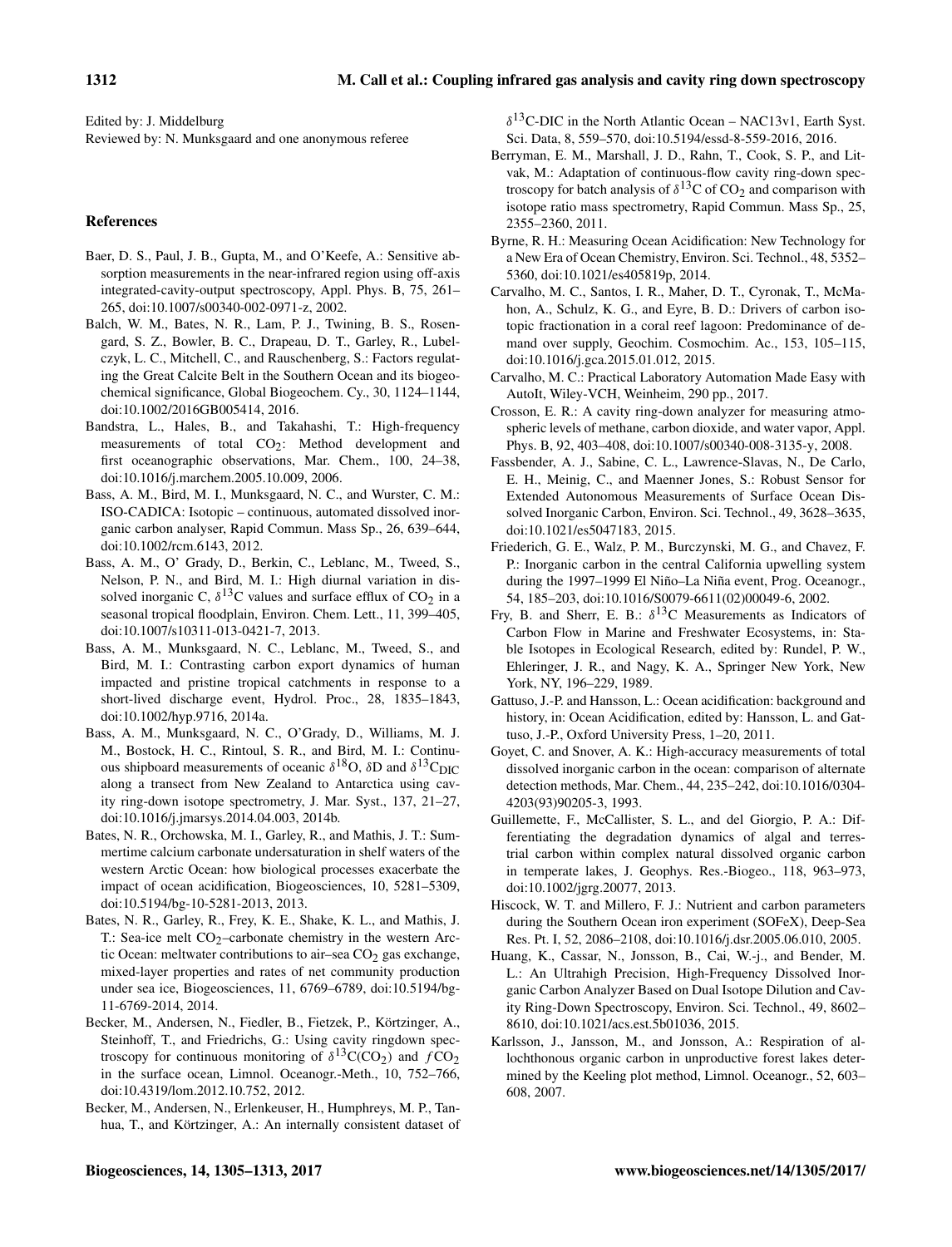Edited by: J. Middelburg Reviewed by: N. Munksgaard and one anonymous referee

## References

- Baer, D. S., Paul, J. B., Gupta, M., and O'Keefe, A.: Sensitive absorption measurements in the near-infrared region using off-axis integrated-cavity-output spectroscopy, Appl. Phys. B, 75, 261– 265, doi[:10.1007/s00340-002-0971-z,](http://dx.doi.org/10.1007/s00340-002-0971-z) 2002.
- Balch, W. M., Bates, N. R., Lam, P. J., Twining, B. S., Rosengard, S. Z., Bowler, B. C., Drapeau, D. T., Garley, R., Lubelczyk, L. C., Mitchell, C., and Rauschenberg, S.: Factors regulating the Great Calcite Belt in the Southern Ocean and its biogeochemical significance, Global Biogeochem. Cy., 30, 1124–1144, doi[:10.1002/2016GB005414,](http://dx.doi.org/10.1002/2016GB005414) 2016.
- Bandstra, L., Hales, B., and Takahashi, T.: High-frequency measurements of total CO<sub>2</sub>: Method development and first oceanographic observations, Mar. Chem., 100, 24–38, doi[:10.1016/j.marchem.2005.10.009,](http://dx.doi.org/10.1016/j.marchem.2005.10.009) 2006.
- Bass, A. M., Bird, M. I., Munksgaard, N. C., and Wurster, C. M.: ISO-CADICA: Isotopic – continuous, automated dissolved inorganic carbon analyser, Rapid Commun. Mass Sp., 26, 639–644, doi[:10.1002/rcm.6143,](http://dx.doi.org/10.1002/rcm.6143) 2012.
- Bass, A. M., O' Grady, D., Berkin, C., Leblanc, M., Tweed, S., Nelson, P. N., and Bird, M. I.: High diurnal variation in dissolved inorganic C,  $\delta^{13}$ C values and surface efflux of CO<sub>2</sub> in a seasonal tropical floodplain, Environ. Chem. Lett., 11, 399–405, doi[:10.1007/s10311-013-0421-7,](http://dx.doi.org/10.1007/s10311-013-0421-7) 2013.
- Bass, A. M., Munksgaard, N. C., Leblanc, M., Tweed, S., and Bird, M. I.: Contrasting carbon export dynamics of human impacted and pristine tropical catchments in response to a short-lived discharge event, Hydrol. Proc., 28, 1835–1843, doi[:10.1002/hyp.9716,](http://dx.doi.org/10.1002/hyp.9716) 2014a.
- Bass, A. M., Munksgaard, N. C., O'Grady, D., Williams, M. J. M., Bostock, H. C., Rintoul, S. R., and Bird, M. I.: Continuous shipboard measurements of oceanic  $\delta^{18}$ O,  $\delta$ D and  $\delta^{13}$ C<sub>DIC</sub> along a transect from New Zealand to Antarctica using cavity ring-down isotope spectrometry, J. Mar. Syst., 137, 21–27, doi[:10.1016/j.jmarsys.2014.04.003,](http://dx.doi.org/10.1016/j.jmarsys.2014.04.003) 2014b.
- Bates, N. R., Orchowska, M. I., Garley, R., and Mathis, J. T.: Summertime calcium carbonate undersaturation in shelf waters of the western Arctic Ocean: how biological processes exacerbate the impact of ocean acidification, Biogeosciences, 10, 5281–5309, doi[:10.5194/bg-10-5281-2013,](http://dx.doi.org/10.5194/bg-10-5281-2013) 2013.
- Bates, N. R., Garley, R., Frey, K. E., Shake, K. L., and Mathis, J. T.: Sea-ice melt  $CO_2$ -carbonate chemistry in the western Arctic Ocean: meltwater contributions to air–sea  $CO<sub>2</sub>$  gas exchange, mixed-layer properties and rates of net community production under sea ice, Biogeosciences, 11, 6769–6789, doi[:10.5194/bg-](http://dx.doi.org/10.5194/bg-11-6769-2014)[11-6769-2014,](http://dx.doi.org/10.5194/bg-11-6769-2014) 2014.
- Becker, M., Andersen, N., Fiedler, B., Fietzek, P., Körtzinger, A., Steinhoff, T., and Friedrichs, G.: Using cavity ringdown spectroscopy for continuous monitoring of  $\delta^{13}C(CO_2)$  and  $fCO_2$ in the surface ocean, Limnol. Oceanogr.-Meth., 10, 752–766, doi[:10.4319/lom.2012.10.752,](http://dx.doi.org/10.4319/lom.2012.10.752) 2012.
- Becker, M., Andersen, N., Erlenkeuser, H., Humphreys, M. P., Tanhua, T., and Körtzinger, A.: An internally consistent dataset of

 $\delta^{13}$ C-DIC in the North Atlantic Ocean – NAC13v1, Earth Syst. Sci. Data, 8, 559–570, doi[:10.5194/essd-8-559-2016,](http://dx.doi.org/10.5194/essd-8-559-2016) 2016.

- Berryman, E. M., Marshall, J. D., Rahn, T., Cook, S. P., and Litvak, M.: Adaptation of continuous-flow cavity ring-down spectroscopy for batch analysis of  $\delta^{13}$ C of CO<sub>2</sub> and comparison with isotope ratio mass spectrometry, Rapid Commun. Mass Sp., 25, 2355–2360, 2011.
- Byrne, R. H.: Measuring Ocean Acidification: New Technology for a New Era of Ocean Chemistry, Environ. Sci. Technol., 48, 5352– 5360, doi[:10.1021/es405819p,](http://dx.doi.org/10.1021/es405819p) 2014.
- Carvalho, M. C., Santos, I. R., Maher, D. T., Cyronak, T., McMahon, A., Schulz, K. G., and Eyre, B. D.: Drivers of carbon isotopic fractionation in a coral reef lagoon: Predominance of demand over supply, Geochim. Cosmochim. Ac., 153, 105–115, doi[:10.1016/j.gca.2015.01.012,](http://dx.doi.org/10.1016/j.gca.2015.01.012) 2015.
- Carvalho, M. C.: Practical Laboratory Automation Made Easy with AutoIt, Wiley-VCH, Weinheim, 290 pp., 2017.
- Crosson, E. R.: A cavity ring-down analyzer for measuring atmospheric levels of methane, carbon dioxide, and water vapor, Appl. Phys. B, 92, 403–408, doi[:10.1007/s00340-008-3135-y,](http://dx.doi.org/10.1007/s00340-008-3135-y) 2008.
- Fassbender, A. J., Sabine, C. L., Lawrence-Slavas, N., De Carlo, E. H., Meinig, C., and Maenner Jones, S.: Robust Sensor for Extended Autonomous Measurements of Surface Ocean Dissolved Inorganic Carbon, Environ. Sci. Technol., 49, 3628–3635, doi[:10.1021/es5047183,](http://dx.doi.org/10.1021/es5047183) 2015.
- Friederich, G. E., Walz, P. M., Burczynski, M. G., and Chavez, F. P.: Inorganic carbon in the central California upwelling system during the 1997–1999 El Niño–La Niña event, Prog. Oceanogr., 54, 185–203, doi[:10.1016/S0079-6611\(02\)00049-6,](http://dx.doi.org/10.1016/S0079-6611(02)00049-6) 2002.
- Fry, B. and Sherr, E. B.:  $\delta^{13}$ C Measurements as Indicators of Carbon Flow in Marine and Freshwater Ecosystems, in: Stable Isotopes in Ecological Research, edited by: Rundel, P. W., Ehleringer, J. R., and Nagy, K. A., Springer New York, New York, NY, 196–229, 1989.
- Gattuso, J.-P. and Hansson, L.: Ocean acidification: background and history, in: Ocean Acidification, edited by: Hansson, L. and Gattuso, J.-P., Oxford University Press, 1–20, 2011.
- Goyet, C. and Snover, A. K.: High-accuracy measurements of total dissolved inorganic carbon in the ocean: comparison of alternate detection methods, Mar. Chem., 44, 235–242, doi[:10.1016/0304-](http://dx.doi.org/10.1016/0304-4203(93)90205-3) [4203\(93\)90205-3,](http://dx.doi.org/10.1016/0304-4203(93)90205-3) 1993.
- Guillemette, F., McCallister, S. L., and del Giorgio, P. A.: Differentiating the degradation dynamics of algal and terrestrial carbon within complex natural dissolved organic carbon in temperate lakes, J. Geophys. Res.-Biogeo., 118, 963–973, doi[:10.1002/jgrg.20077,](http://dx.doi.org/10.1002/jgrg.20077) 2013.
- Hiscock, W. T. and Millero, F. J.: Nutrient and carbon parameters during the Southern Ocean iron experiment (SOFeX), Deep-Sea Res. Pt. I, 52, 2086–2108, doi[:10.1016/j.dsr.2005.06.010,](http://dx.doi.org/10.1016/j.dsr.2005.06.010) 2005.
- Huang, K., Cassar, N., Jonsson, B., Cai, W.-j., and Bender, M. L.: An Ultrahigh Precision, High-Frequency Dissolved Inorganic Carbon Analyzer Based on Dual Isotope Dilution and Cavity Ring-Down Spectroscopy, Environ. Sci. Technol., 49, 8602– 8610, doi[:10.1021/acs.est.5b01036,](http://dx.doi.org/10.1021/acs.est.5b01036) 2015.
- Karlsson, J., Jansson, M., and Jonsson, A.: Respiration of allochthonous organic carbon in unproductive forest lakes determined by the Keeling plot method, Limnol. Oceanogr., 52, 603– 608, 2007.